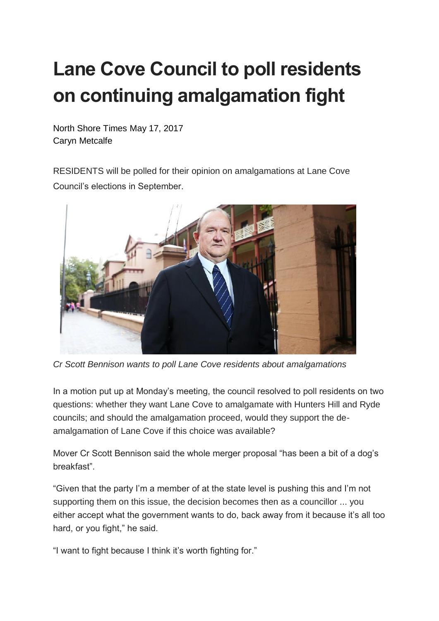## **Lane Cove Council to poll residents on continuing amalgamation fight**

North Shore Times May 17, 2017 Caryn Metcalfe

RESIDENTS will be polled for their opinion on amalgamations at Lane Cove Council's elections in September.



*Cr Scott Bennison wants to poll Lane Cove residents about amalgamations*

In a motion put up at Monday's meeting, the council resolved to poll residents on two questions: whether they want Lane Cove to amalgamate with Hunters Hill and Ryde councils; and should the amalgamation proceed, would they support the deamalgamation of Lane Cove if this choice was available?

Mover Cr Scott Bennison said the whole merger proposal "has been a bit of a dog's breakfast".

"Given that the party I'm a member of at the state level is pushing this and I'm not supporting them on this issue, the decision becomes then as a councillor ... you either accept what the government wants to do, back away from it because it's all too hard, or you fight," he said.

"I want to fight because I think it's worth fighting for."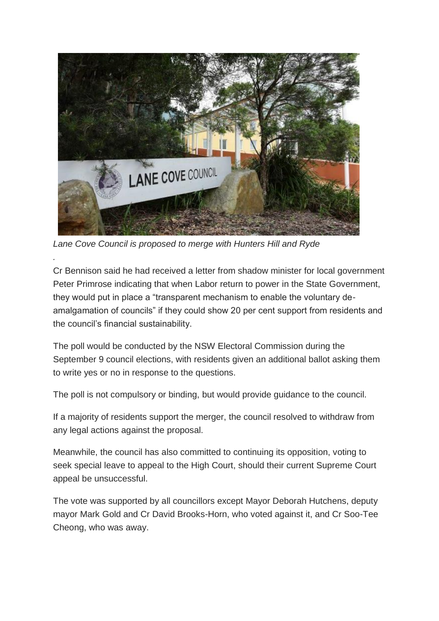

*Lane Cove Council is proposed to merge with Hunters Hill and Ryde*

*.*

Cr Bennison said he had received a letter from shadow minister for local government Peter Primrose indicating that when Labor return to power in the State Government, they would put in place a "transparent mechanism to enable the voluntary deamalgamation of councils" if they could show 20 per cent support from residents and the council's financial sustainability.

The poll would be conducted by the NSW Electoral Commission during the September 9 council elections, with residents given an additional ballot asking them to write yes or no in response to the questions.

The poll is not compulsory or binding, but would provide guidance to the council.

If a majority of residents support the merger, the council resolved to withdraw from any legal actions against the proposal.

Meanwhile, the council has also committed to continuing its opposition, voting to seek special leave to appeal to the High Court, should their current Supreme Court appeal be unsuccessful.

The vote was supported by all councillors except Mayor Deborah Hutchens, deputy mayor Mark Gold and Cr David Brooks-Horn, who voted against it, and Cr Soo-Tee Cheong, who was away.